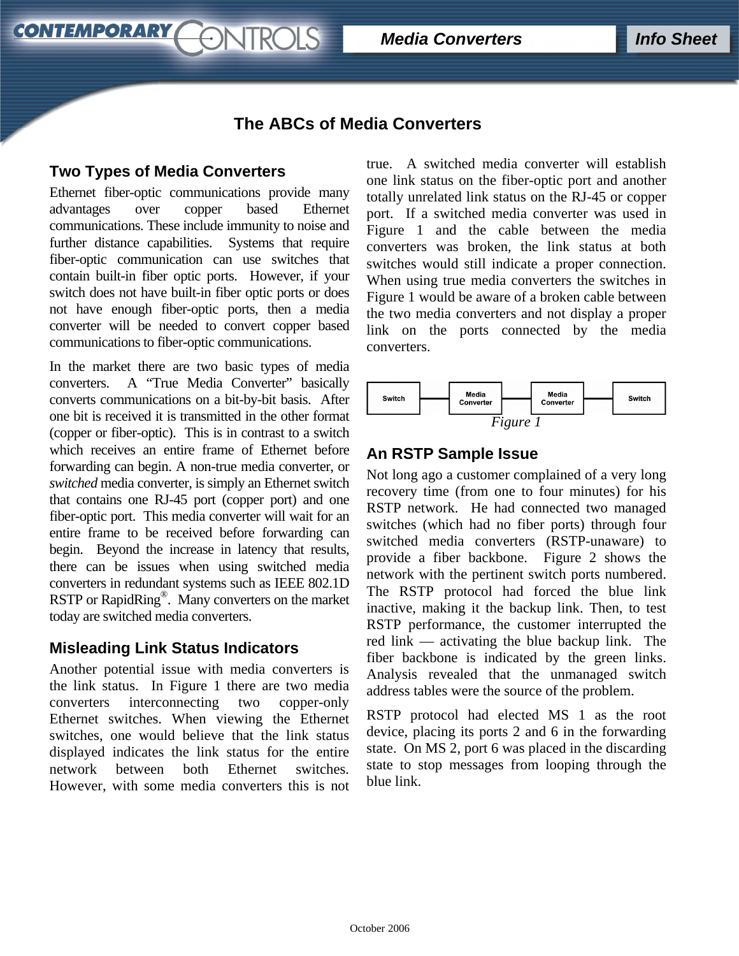**Media Converters Info Sheet** 

# **The ABCs of Media Converters**

## **Two Types of Media Converters**

**CONTEMPORARY** 

Ethernet fiber-optic communications provide many advantages over copper based Ethernet communications. These include immunity to noise and further distance capabilities. Systems that require fiber-optic communication can use switches that contain built-in fiber optic ports. However, if your switch does not have built-in fiber optic ports or does not have enough fiber-optic ports, then a media converter will be needed to convert copper based communications to fiber-optic communications.

ONTROLS

In the market there are two basic types of media converters. A "True Media Converter" basically converts communications on a bit-by-bit basis. After one bit is received it is transmitted in the other format (copper or fiber-optic). This is in contrast to a switch which receives an entire frame of Ethernet before forwarding can begin. A non-true media converter, or *switched* media converter, is simply an Ethernet switch that contains one RJ-45 port (copper port) and one fiber-optic port. This media converter will wait for an entire frame to be received before forwarding can begin. Beyond the increase in latency that results, there can be issues when using switched media converters in redundant systems such as IEEE 802.1D RSTP or RapidRing<sup>®</sup>. Many converters on the market today are switched media converters.

### **Misleading Link Status Indicators**

Another potential issue with media converters is the link status. In Figure 1 there are two media converters interconnecting two copper-only Ethernet switches. When viewing the Ethernet switches, one would believe that the link status displayed indicates the link status for the entire network between both Ethernet switches. However, with some media converters this is not

true. A switched media converter will establish one link status on the fiber-optic port and another totally unrelated link status on the RJ-45 or copper port. If a switched media converter was used in Figure 1 and the cable between the media converters was broken, the link status at both switches would still indicate a proper connection. When using true media converters the switches in Figure 1 would be aware of a broken cable between the two media converters and not display a proper link on the ports connected by the media converters.



## **An RSTP Sample Issue**

Not long ago a customer complained of a very long recovery time (from one to four minutes) for his RSTP network. He had connected two managed switches (which had no fiber ports) through four switched media converters (RSTP-unaware) to provide a fiber backbone. Figure 2 shows the network with the pertinent switch ports numbered. The RSTP protocol had forced the blue link inactive, making it the backup link. Then, to test RSTP performance, the customer interrupted the red link — activating the blue backup link. The fiber backbone is indicated by the green links. Analysis revealed that the unmanaged switch address tables were the source of the problem.

RSTP protocol had elected MS 1 as the root device, placing its ports 2 and 6 in the forwarding state. On MS 2, port 6 was placed in the discarding state to stop messages from looping through the blue link.